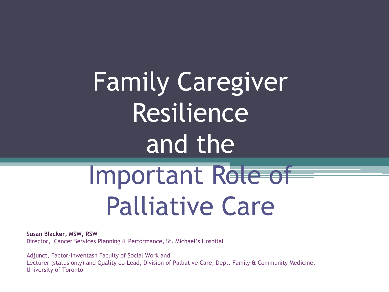Family Caregiver Resilience and the

# Important Role of Palliative Care

**Susan Blacker, MSW, RSW**

Director, Cancer Services Planning & Performance, St. Michael's Hospital

Adjunct, Factor-Inwentash Faculty of Social Work and Lecturer (status only) and Quality co-Lead, Division of Palliative Care, Dept. Family & Community Medicine; University of Toronto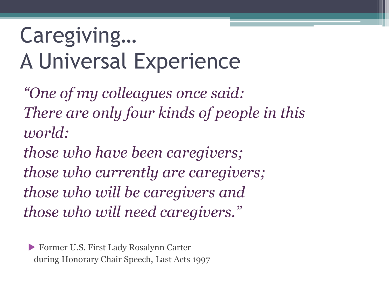# Caregiving… A Universal Experience

*"One of my colleagues once said: There are only four kinds of people in this world:* 

*those who have been caregivers; those who currently are caregivers; those who will be caregivers and those who will need caregivers."*

 Former U.S. First Lady Rosalynn Carter during Honorary Chair Speech, Last Acts 1997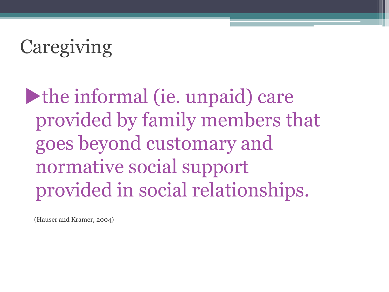# **Caregiving**

the informal (ie. unpaid) care provided by family members that goes beyond customary and normative social support provided in social relationships.

(Hauser and Kramer, 2004)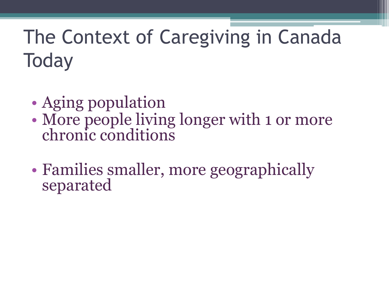# The Context of Caregiving in Canada **Today**

- Aging population
- More people living longer with 1 or more chronic conditions
- Families smaller, more geographically separated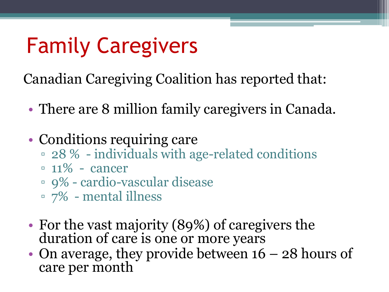# Family Caregivers

Canadian Caregiving Coalition has reported that:

- There are 8 million family caregivers in Canada.
- Conditions requiring care
	- 28 % individuals with age-related conditions
	- $\approx 11\%$  cancer
	- 9% cardio-vascular disease
	- 7% mental illness
- For the vast majority (89%) of caregivers the duration of care is one or more years
- On average, they provide between  $16 28$  hours of care per month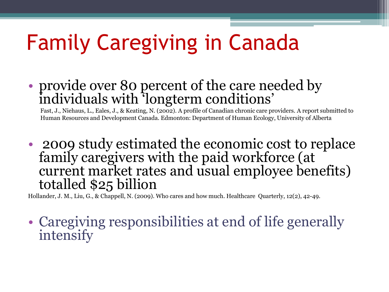# Family Caregiving in Canada

• provide over 80 percent of the care needed by individuals with 'longterm conditions'

 Fast, J., Niehaus, L., Eales, J., & Keating, N. (2002). A profile of Canadian chronic care providers. A report submitted to Human Resources and Development Canada. Edmonton: Department of Human Ecology, University of Alberta

• 2009 study estimated the economic cost to replace family caregivers with the paid workforce (at current market rates and usual employee benefits) totalled \$25 billion

Hollander, J. M., Liu, G., & Chappell, N. (2009). Who cares and how much. Healthcare Quarterly, 12(2), 42-49.

• Caregiving responsibilities at end of life generally intensify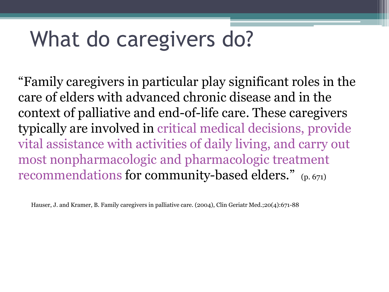# What do caregivers do?

"Family caregivers in particular play significant roles in the care of elders with advanced chronic disease and in the context of palliative and end-of-life care. These caregivers typically are involved in critical medical decisions, provide vital assistance with activities of daily living, and carry out most nonpharmacologic and pharmacologic treatment recommendations for community-based elders." (p. 671)

Hauser, J. and Kramer, B. Family caregivers in palliative care. (2004), Clin Geriatr Med.;20(4):671-88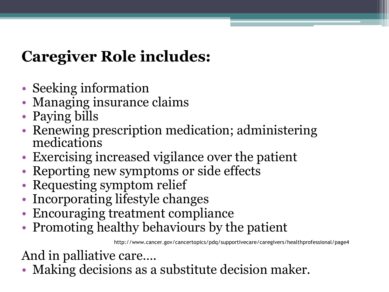## **Caregiver Role includes:**

- Seeking information
- Managing insurance claims
- Paying bills
- Renewing prescription medication; administering medications
- Exercising increased vigilance over the patient
- Reporting new symptoms or side effects
- Requesting symptom relief
- Incorporating lifestyle changes
- Encouraging treatment compliance
- Promoting healthy behaviours by the patient

http://www.cancer.gov/cancertopics/pdq/supportivecare/caregivers/healthprofessional/page4

And in palliative care….

• Making decisions as a substitute decision maker.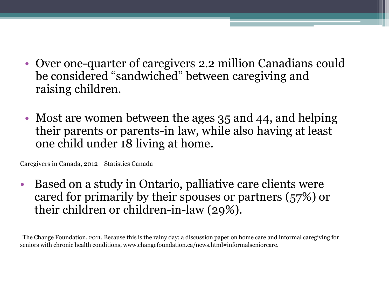- Over one-quarter of caregivers 2.2 million Canadians could be considered "sandwiched" between caregiving and raising children.
- Most are women between the ages 35 and 44, and helping their parents or parents-in law, while also having at least one child under 18 living at home.

Caregivers in Canada, 2012 Statistics Canada

• Based on a study in Ontario, palliative care clients were cared for primarily by their spouses or partners (57%) or their children or children-in-law (29%).

The Change Foundation, 2011, Because this is the rainy day: a discussion paper on home care and informal caregiving for seniors with chronic health conditions, www.changefoundation.ca/news.html#informalseniorcare.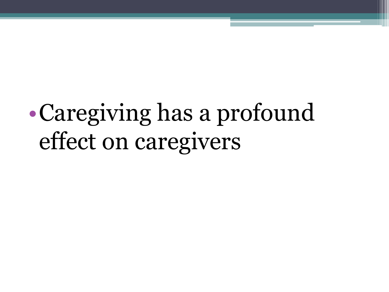# •Caregiving has a profound effect on caregivers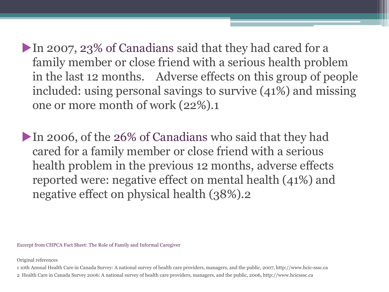In 2007, 23% of Canadians said that they had cared for a family member or close friend with a serious health problem in the last 12 months. Adverse effects on this group of people included: using personal savings to survive (41%) and missing one or more month of work (22%).1

In 2006, of the 26% of Canadians who said that they had cared for a family member or close friend with a serious health problem in the previous 12 months, adverse effects reported were: negative effect on mental health (41%) and negative effect on physical health (38%).2

Excerpt from CHPCA Fact Sheet: The Role of Family and Informal Caregiver

Original references

1 10th Annual Health Care in Canada Survey: A national survey of health care providers, managers, and the public, 2007, http://www.hcic-sssc.ca

2 Health Care in Canada Survey 2006: A national survey of health care providers, managers, and the public, 2006, http://www.hcicsssc.ca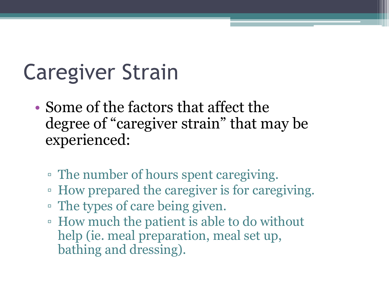# Caregiver Strain

- Some of the factors that affect the degree of "caregiver strain" that may be experienced:
	- The number of hours spent caregiving.
	- How prepared the caregiver is for caregiving.
	- The types of care being given.
	- How much the patient is able to do without help (ie. meal preparation, meal set up, bathing and dressing).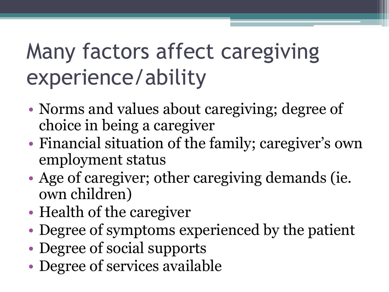# Many factors affect caregiving experience/ability

- Norms and values about caregiving; degree of choice in being a caregiver
- Financial situation of the family; caregiver's own employment status
- Age of caregiver; other caregiving demands (ie. own children)
- Health of the caregiver
- Degree of symptoms experienced by the patient
- Degree of social supports
- Degree of services available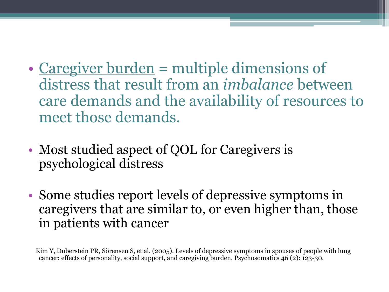- Caregiver burden = multiple dimensions of distress that result from an *imbalance* between care demands and the availability of resources to meet those demands.
- Most studied aspect of QOL for Caregivers is psychological distress
- Some studies report levels of depressive symptoms in caregivers that are similar to, or even higher than, those in patients with cancer

 Kim Y, Duberstein PR, Sörensen S, et al. (2005). Levels of depressive symptoms in spouses of people with lung cancer: effects of personality, social support, and caregiving burden. Psychosomatics 46 (2): 123-30.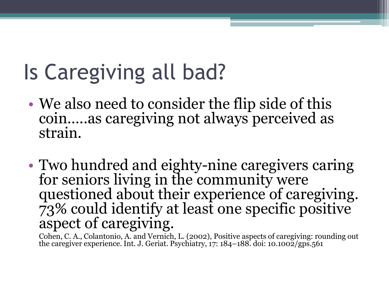# Is Caregiving all bad?

- We also need to consider the flip side of this coin…..as caregiving not always perceived as strain.
- Two hundred and eighty-nine caregivers caring for seniors living in the community were questioned about their experience of caregiving. 73% could identify at least one specific positive aspect of caregiving.

 Cohen, C. A., Colantonio, A. and Vernich, L. (2002), Positive aspects of caregiving: rounding out the caregiver experience. Int. J. Geriat. Psychiatry, 17: 184–188. doi: 10.1002/gps.561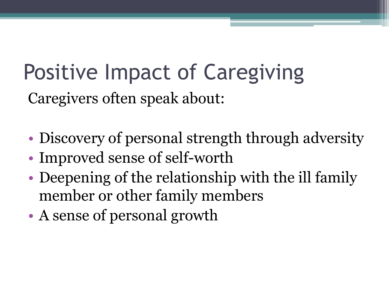# Positive Impact of Caregiving Caregivers often speak about:

- Discovery of personal strength through adversity
- Improved sense of self-worth
- Deepening of the relationship with the ill family member or other family members
- A sense of personal growth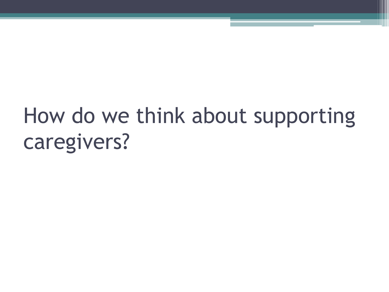# How do we think about supporting caregivers?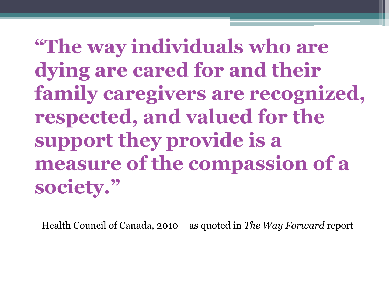**"The way individuals who are dying are cared for and their family caregivers are recognized, respected, and valued for the support they provide is a measure of the compassion of a society."** 

Health Council of Canada, 2010 – as quoted in *The Way Forward* report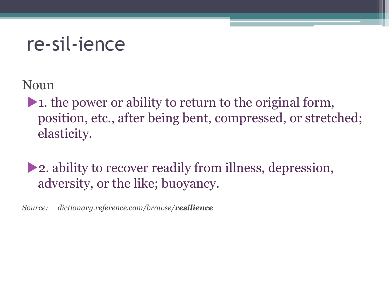## re-sil-ience

Noun

1. the power or ability to return to the original form, position, etc., after being bent, compressed, or stretched; elasticity.

2. ability to recover readily from illness, depression, adversity, or the like; buoyancy.

*Source: dictionary.reference.com/browse/resilience*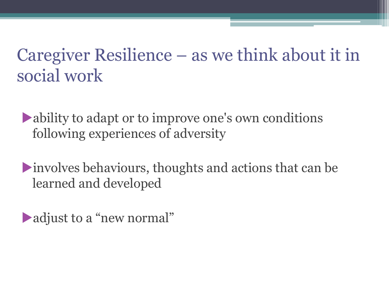## Caregiver Resilience – as we think about it in social work

ability to adapt or to improve one's own conditions following experiences of adversity

involves behaviours, thoughts and actions that can be learned and developed

adjust to a "new normal"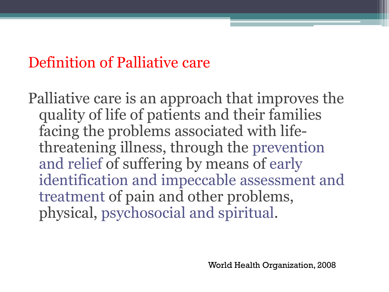## Definition of Palliative care

Palliative care is an approach that improves the quality of life of patients and their families facing the problems associated with lifethreatening illness, through the prevention and relief of suffering by means of early identification and impeccable assessment and treatment of pain and other problems, physical, psychosocial and spiritual.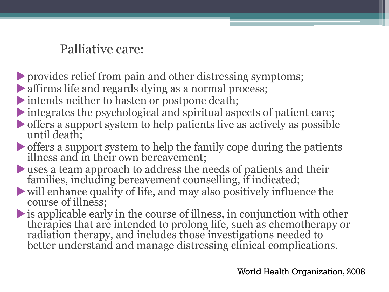## Palliative care:

- provides relief from pain and other distressing symptoms;
- affirms life and regards dying as a normal process;
- intends neither to hasten or postpone death;
- integrates the psychological and spiritual aspects of patient care;
- offers a support system to help patients live as actively as possible until death;
- offers a support system to help the family cope during the patients illness and in their own bereavement;
- uses a team approach to address the needs of patients and their families, including bereavement counselling, if indicated;
- will enhance quality of life, and may also positively influence the course of illness;
- is applicable early in the course of illness, in conjunction with other therapies that are intended to prolong life, such as chemotherapy or radiation therapy, and includes those investigations needed to better understand and manage distressing clinical complications.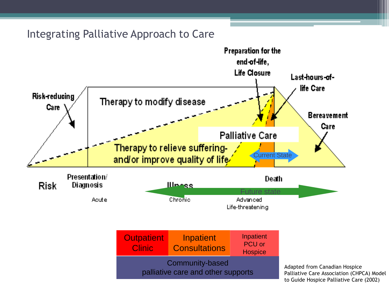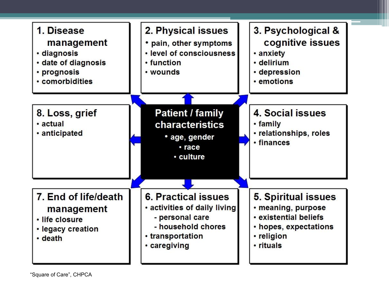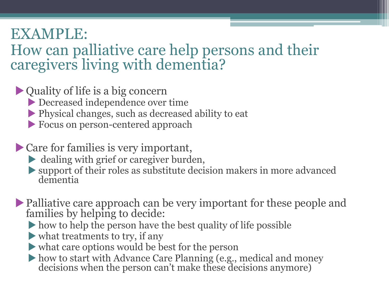## EXAMPLE:

## How can palliative care help persons and their caregivers living with dementia?

- Quality of life is a big concern
	- Decreased independence over time
	- Physical changes, such as decreased ability to eat
	- Focus on person-centered approach
- Care for families is very important,
	- dealing with grief or caregiver burden,
	- support of their roles as substitute decision makers in more advanced dementia
- Palliative care approach can be very important for these people and families by helping to decide:
	- how to help the person have the best quality of life possible
	- what treatments to try, if any
	- what care options would be best for the person
	- how to start with Advance Care Planning (e.g., medical and money decisions when the person can't make these decisions anymore)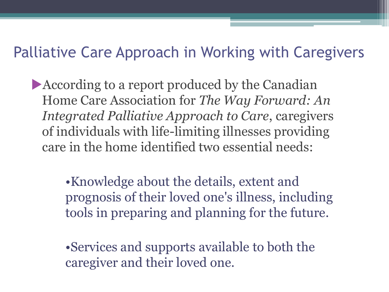## Palliative Care Approach in Working with Caregivers

According to a report produced by the Canadian Home Care Association for *The Way Forward: An Integrated Palliative Approach to Care*, caregivers of individuals with life-limiting illnesses providing care in the home identified two essential needs:

> •Knowledge about the details, extent and prognosis of their loved one's illness, including tools in preparing and planning for the future.

•Services and supports available to both the caregiver and their loved one.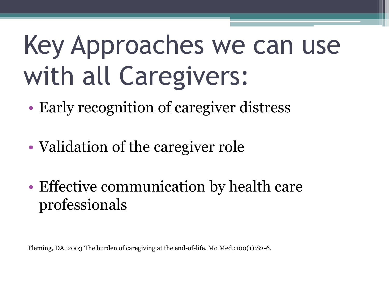# Key Approaches we can use with all Caregivers:

- Early recognition of caregiver distress
- Validation of the caregiver role
- Effective communication by health care professionals

Fleming, DA. 2003 The burden of caregiving at the end-of-life. Mo Med.;100(1):82-6.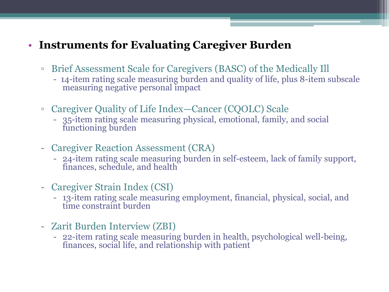#### • **Instruments for Evaluating Caregiver Burden**

- Brief Assessment Scale for Caregivers (BASC) of the Medically Ill
	- 14-item rating scale measuring burden and quality of life, plus 8-item subscale measuring negative personal impact
- Caregiver Quality of Life Index—Cancer (CQOLC) Scale
	- 35-item rating scale measuring physical, emotional, family, and social functioning burden
- Caregiver Reaction Assessment (CRA)
	- 24-item rating scale measuring burden in self-esteem, lack of family support, finances, schedule, and health
- Caregiver Strain Index (CSI)
	- 13-item rating scale measuring employment, financial, physical, social, and time constraint burden
- Zarit Burden Interview (ZBI)
	- 22-item rating scale measuring burden in health, psychological well-being, finances, social life, and relationship with patient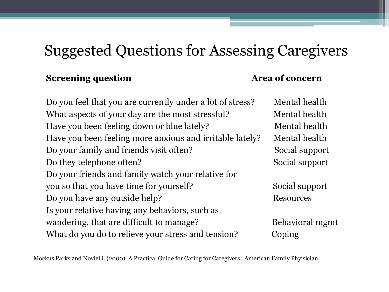## Suggested Questions for Assessing Caregivers

#### **Screening question Area of concern**

Do you feel that you are currently under a lot of stress? Mental health What aspects of your day are the most stressful? Mental health Have you been feeling down or blue lately? Mental health Have you been feeling more anxious and irritable lately? Mental health Do your family and friends visit often? Social support Do they telephone often? Social support Do your friends and family watch your relative for you so that you have time for yourself? Social support Do you have any outside help? Resources Is your relative having any behaviors, such as wandering, that are difficult to manage? Behavioral mgmt What do you do to relieve your stress and tension? Coping

Mockus Parks and Novielli. (2000). A Practical Guide for Caring for Caregivers. American Family Phyisician.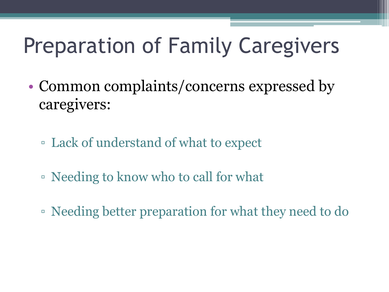# Preparation of Family Caregivers

- Common complaints/concerns expressed by caregivers:
	- Lack of understand of what to expect
	- Needing to know who to call for what
	- Needing better preparation for what they need to do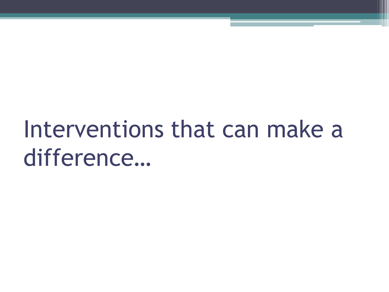# Interventions that can make a difference…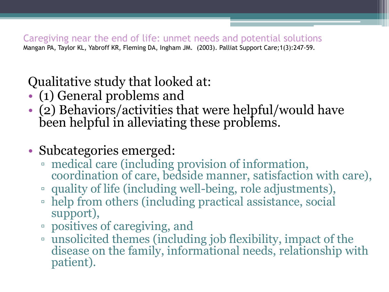Caregiving near the end of life: unmet needs and potential solutions Mangan PA, Taylor KL, Yabroff KR, Fleming DA, Ingham JM. (2003). Palliat Support Care;1(3):247-59.

## Qualitative study that looked at:

- (1) General problems and
- (2) Behaviors/activities that were helpful/would have been helpful in alleviating these problems.
- Subcategories emerged:
	- medical care (including provision of information, coordination of care, bedside manner, satisfaction with care),
	- quality of life (including well-being, role adjustments),
	- help from others (including practical assistance, social support),
	- positives of caregiving, and
	- unsolicited themes (including job flexibility, impact of the disease on the family, informational needs, relationship with patient).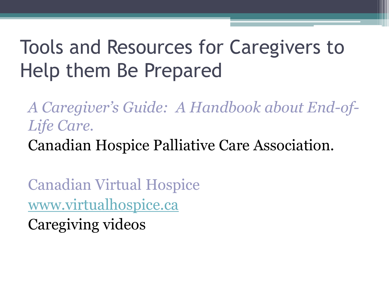## Tools and Resources for Caregivers to Help them Be Prepared

*A Caregiver's Guide: A Handbook about End-of-Life Care.* 

Canadian Hospice Palliative Care Association.

Canadian Virtual Hospice [www.virtualhospice.ca](http://www.virtualhospice.ca/) Caregiving videos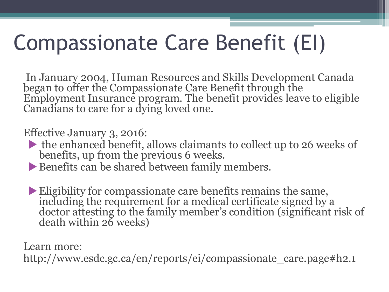# Compassionate Care Benefit (EI)

In January 2004, Human Resources and Skills Development Canada began to offer the Compassionate Care Benefit through the Employment Insurance program. The benefit provides leave to eligible Canadians to care for a dying loved one.

Effective January 3, 2016:

- the enhanced benefit, allows claimants to collect up to 26 weeks of benefits, up from the previous 6 weeks.
- Benefits can be shared between family members.
- Eligibility for compassionate care benefits remains the same, including the requirement for a medical certificate signed by a doctor attesting to the family member's condition (significant risk of death within 26 weeks)

Learn more:

http://www.esdc.gc.ca/en/reports/ei/compassionate\_care.page#h2.1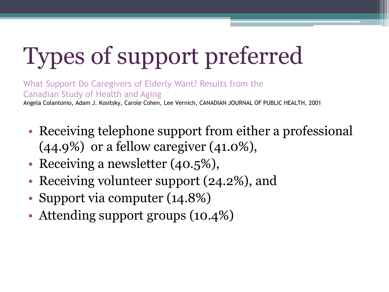# Types of support preferred

What Support Do Caregivers of Elderly Want? Results from the Canadian Study of Health and Aging Angela Colantonio, Adam J. Kositsky, Carole Cohen, Lee Vernich, CANADIAN JOURNAL OF PUBLIC HEALTH, 2001

- Receiving telephone support from either a professional  $(44.9\%)$  or a fellow caregiver  $(41.0\%).$
- Receiving a newsletter (40.5%),
- Receiving volunteer support (24.2%), and
- Support via computer (14.8%)
- Attending support groups (10.4%)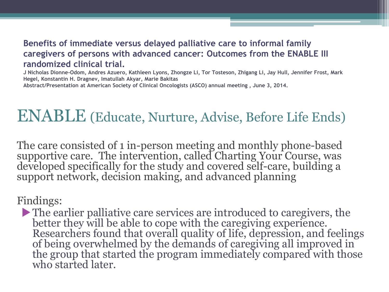#### **Benefits of immediate versus delayed palliative care to informal family caregivers of persons with advanced cancer: Outcomes from the ENABLE III randomized clinical trial.**

**J Nicholas Dionne-Odom, Andres Azuero, Kathleen Lyons, Zhongze Li, Tor Tosteson, Zhigang Li, Jay Hull, Jennifer Frost, Mark Hegel, Konstantin H. Dragnev, Imatullah Akyar, Marie Bakitas Abstract/Presentation at American Society of Clinical Oncologists (ASCO) annual meeting , June 3, 2014.** 

## ENABLE (Educate, Nurture, Advise, Before Life Ends)

The care consisted of 1 in-person meeting and monthly phone-based supportive care. The intervention, called Charting Your Course, was developed specifically for the study and covered self-care, building a support network, decision making, and advanced planning

Findings:

The earlier palliative care services are introduced to caregivers, the better they will be able to cope with the caregiving experience. Researchers found that overall quality of life, depression, and feelings of being overwhelmed by the demands of caregiving all improved in the group that started the program immediately compared with those who started later.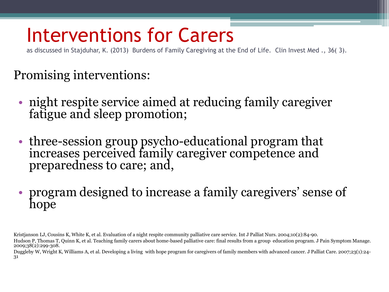## Interventions for Carers

as discussed in Stajduhar, K. (2013) Burdens of Family Caregiving at the End of Life. Clin Invest Med ., 36( 3).

### Promising interventions:

- night respite service aimed at reducing family caregiver fatigue and sleep promotion;
- three-session group psycho-educational program that increases perceived family caregiver competence and preparedness to care; and,
- program designed to increase a family caregivers' sense of hope

Kristjanson LJ, Cousins K, White K, et al. Evaluation of a night respite community palliative care service. Int J Palliat Nurs. 2004;10(2):84-90.

Duggleby W, Wright K, Williams A, et al. Developing a living with hope program for caregivers of family members with advanced cancer. J Palliat Care. 2007;23(1):24- 31

Hudson P, Thomas T, Quinn K, et al. Teaching family carers about home-based palliative care: final results from a group education program. J Pain Symptom Manage. 2009;38(2):299-308.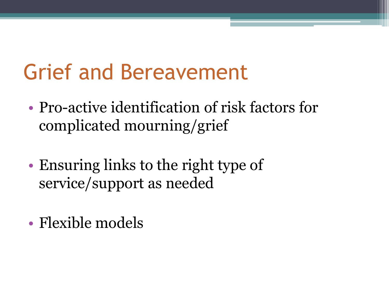# Grief and Bereavement

- Pro-active identification of risk factors for complicated mourning/grief
- Ensuring links to the right type of service/support as needed
- Flexible models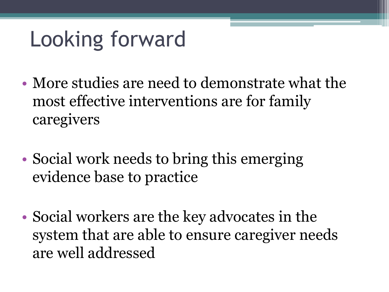# Looking forward

- More studies are need to demonstrate what the most effective interventions are for family caregivers
- Social work needs to bring this emerging evidence base to practice
- Social workers are the key advocates in the system that are able to ensure caregiver needs are well addressed